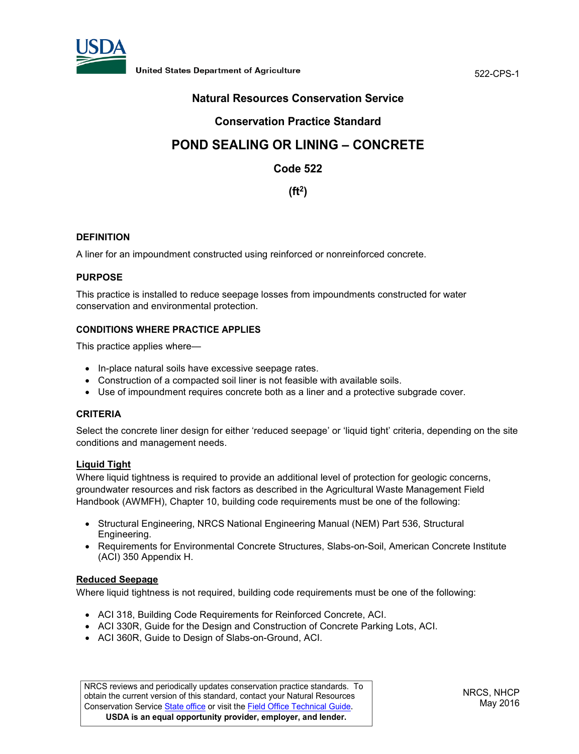

# **Natural Resources Conservation Service**

# **Conservation Practice Standard**

# **POND SEALING OR LINING – CONCRETE**

# **Code 522**

# **(ft2)**

#### **DEFINITION**

A liner for an impoundment constructed using reinforced or nonreinforced concrete.

## **PURPOSE**

This practice is installed to reduce seepage losses from impoundments constructed for water conservation and environmental protection.

#### **CONDITIONS WHERE PRACTICE APPLIES**

This practice applies where—

- In-place natural soils have excessive seepage rates.
- Construction of a compacted soil liner is not feasible with available soils.
- Use of impoundment requires concrete both as a liner and a protective subgrade cover.

#### **CRITERIA**

Select the concrete liner design for either 'reduced seepage' or 'liquid tight' criteria, depending on the site conditions and management needs.

#### **Liquid Tight**

Where liquid tightness is required to provide an additional level of protection for geologic concerns, groundwater resources and risk factors as described in the Agricultural Waste Management Field Handbook (AWMFH), Chapter 10, building code requirements must be one of the following:

- Structural Engineering, NRCS National Engineering Manual (NEM) Part 536, Structural Engineering.
- Requirements for Environmental Concrete Structures, Slabs-on-Soil, American Concrete Institute (ACI) 350 Appendix H.

## **Reduced Seepage**

Where liquid tightness is not required, building code requirements must be one of the following:

- ACI 318, Building Code Requirements for Reinforced Concrete, ACI.
- ACI 330R, Guide for the Design and Construction of Concrete Parking Lots, ACI.
- ACI 360R, Guide to Design of Slabs-on-Ground, ACI.